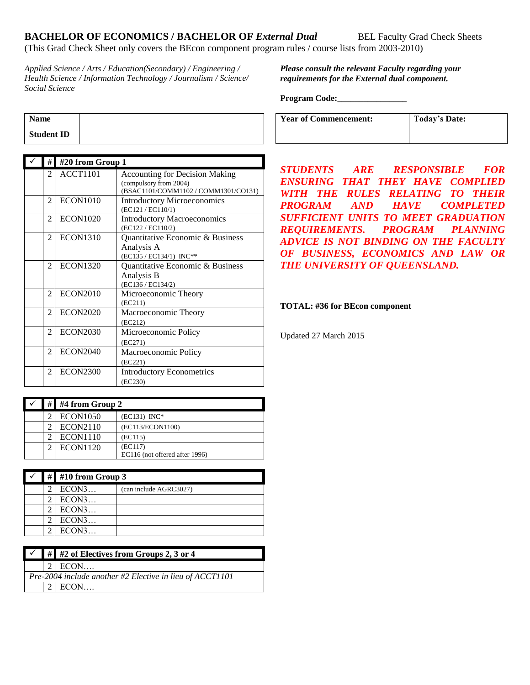# **BACHELOR OF ECONOMICS / BACHELOR OF** *External Dual* **BEL Faculty Grad Check Sheets**

(This Grad Check Sheet only covers the BEcon component program rules / course lists from 2003-2010)

*Applied Science / Arts / Education(Secondary) / Engineering / Health Science / Information Technology / Journalism / Science/ Social Science*

## *Please consult the relevant Faculty regarding your requirements for the External dual component.*

#### **Program Code:\_\_\_\_\_\_\_\_\_\_\_\_\_\_\_\_**

| <b>Year of Commencement:</b> | <b>Today's Date:</b> |
|------------------------------|----------------------|
|                              |                      |

| <b>Name</b>       |  |
|-------------------|--|
| <b>Student ID</b> |  |

| #              | #20 from Group 1 |                                                                                                         |
|----------------|------------------|---------------------------------------------------------------------------------------------------------|
| $\mathfrak{D}$ | ACCT1101         | <b>Accounting for Decision Making</b><br>(compulsory from 2004)<br>(BSAC1101/COMM1102 / COMM1301/CO131) |
| $\mathfrak{D}$ | <b>ECON1010</b>  | <b>Introductory Microeconomics</b><br>(EC121 / EC110/1)                                                 |
| $\overline{c}$ | <b>ECON1020</b>  | <b>Introductory Macroeconomics</b><br>(EC122 / EC110/2)                                                 |
| $\overline{c}$ | <b>ECON1310</b>  | Quantitative Economic & Business<br>Analysis A<br>(EC135 / EC134/1) INC**                               |
| $\mathfrak{D}$ | <b>ECON1320</b>  | Quantitative Economic & Business<br>Analysis B<br>(EC136 / EC134/2)                                     |
| $\mathfrak{D}$ | <b>ECON2010</b>  | Microeconomic Theory<br>(EC211)                                                                         |
| 2              | <b>ECON2020</b>  | Macroeconomic Theory<br>(EC212)                                                                         |
| $\mathfrak{D}$ | <b>ECON2030</b>  | Microeconomic Policy<br>(EC271)                                                                         |
| $\mathfrak{D}$ | <b>ECON2040</b>  | Macroeconomic Policy<br>(EC221)                                                                         |
| 2              | <b>ECON2300</b>  | <b>Introductory Econometrics</b><br>(EC230)                                                             |

*STUDENTS ARE RESPONSIBLE FOR ENSURING THAT THEY HAVE COMPLIED WITH THE RULES RELATING TO THEIR PROGRAM AND HAVE COMPLETED SUFFICIENT UNITS TO MEET GRADUATION REQUIREMENTS. PROGRAM PLANNING ADVICE IS NOT BINDING ON THE FACULTY OF BUSINESS, ECONOMICS AND LAW OR THE UNIVERSITY OF QUEENSLAND.* 

#### **TOTAL: #36 for BEcon component**

Updated 27 March 2015

|  | $\#$ #4 from Group 2 |                                |
|--|----------------------|--------------------------------|
|  | <b>ECON1050</b>      | $(EC131) \text{INC*}$          |
|  | ECON2110             | (EC113/ECON1100)               |
|  | <b>ECON1110</b>      | (EC115)                        |
|  | <b>ECON1120</b>      | (EC117)                        |
|  |                      | EC116 (not offered after 1996) |

|  | # #10 from Group 3 |                        |
|--|--------------------|------------------------|
|  | ECON3              | (can include AGRC3027) |
|  | ECON3              |                        |
|  | ECON3              |                        |
|  | ECON3              |                        |
|  | ECON3              |                        |

|                                                            | $\checkmark$ # #2 of Electives from Groups 2, 3 or 4 |  |  |  |
|------------------------------------------------------------|------------------------------------------------------|--|--|--|
|                                                            | $2$ ECON                                             |  |  |  |
| Pre-2004 include another #2 Elective in lieu of $ACCT1101$ |                                                      |  |  |  |
|                                                            | $2$ ECON                                             |  |  |  |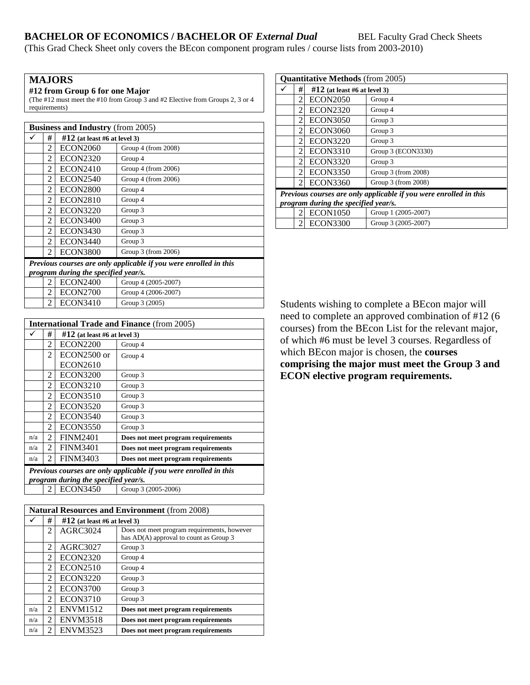# **BACHELOR OF ECONOMICS / BACHELOR OF** *External Dual* **BEL Faculty Grad Check Sheets**

(This Grad Check Sheet only covers the BEcon component program rules / course lists from 2003-2010)

# **MAJORS**

**#12 from Group 6 for one Major**

(The #12 must meet the #10 from Group 3 and #2 Elective from Groups 2, 3 or 4 requirements)

| <b>Business and Industry (from 2005)</b>                                                                  |                |                                 |                       |  |
|-----------------------------------------------------------------------------------------------------------|----------------|---------------------------------|-----------------------|--|
|                                                                                                           | #              | $\#12$ (at least #6 at level 3) |                       |  |
|                                                                                                           | $\overline{c}$ | <b>ECON2060</b>                 | Group $4$ (from 2008) |  |
|                                                                                                           | $\overline{c}$ | <b>ECON2320</b>                 | Group 4               |  |
|                                                                                                           | 2              | <b>ECON2410</b>                 | Group $4$ (from 2006) |  |
|                                                                                                           | $\mathfrak{D}$ | <b>ECON2540</b>                 | Group 4 (from 2006)   |  |
|                                                                                                           | 2              | <b>ECON2800</b>                 | Group 4               |  |
|                                                                                                           | 2              | <b>ECON2810</b>                 | Group 4               |  |
|                                                                                                           | $\overline{c}$ | <b>ECON3220</b>                 | Group 3               |  |
|                                                                                                           | 2              | <b>ECON3400</b>                 | Group 3               |  |
|                                                                                                           | $\overline{c}$ | <b>ECON3430</b>                 | Group 3               |  |
|                                                                                                           | 2              | <b>ECON3440</b>                 | Group 3               |  |
|                                                                                                           | 2              | <b>ECON3800</b>                 | Group $3$ (from 2006) |  |
| Previous courses are only applicable if you were enrolled in this<br>program during the specified year/s. |                |                                 |                       |  |
|                                                                                                           | 2              | <b>ECON2400</b>                 | Group 4 (2005-2007)   |  |
|                                                                                                           | 2              | <b>ECON2700</b>                 | Group 4 (2006-2007)   |  |
|                                                                                                           | 2              | <b>ECON3410</b>                 | Group 3 (2005)        |  |

|                                                                   | <b>International Trade and Finance (from 2005)</b> |                                 |                                    |  |
|-------------------------------------------------------------------|----------------------------------------------------|---------------------------------|------------------------------------|--|
|                                                                   | #                                                  | $\#12$ (at least #6 at level 3) |                                    |  |
|                                                                   | 2                                                  | <b>ECON2200</b>                 | Group 4                            |  |
|                                                                   | 2                                                  | $ECON2500$ or                   | Group 4                            |  |
|                                                                   |                                                    | <b>ECON2610</b>                 |                                    |  |
|                                                                   | 2                                                  | <b>ECON3200</b>                 | Group 3                            |  |
|                                                                   | 2                                                  | <b>ECON3210</b>                 | Group 3                            |  |
|                                                                   | $\mathfrak{D}$                                     | <b>ECON3510</b>                 | Group 3                            |  |
|                                                                   | $\mathfrak{D}$                                     | <b>ECON3520</b>                 | Group 3                            |  |
|                                                                   | 2                                                  | <b>ECON3540</b>                 | Group 3                            |  |
|                                                                   | 2                                                  | <b>ECON3550</b>                 | Group 3                            |  |
| n/a                                                               | $\mathcal{L}$                                      | <b>FINM2401</b>                 | Does not meet program requirements |  |
| n/a                                                               | 2                                                  | <b>FINM3401</b>                 | Does not meet program requirements |  |
| n/a                                                               | 2                                                  | <b>FINM3403</b>                 | Does not meet program requirements |  |
| Previous courses are only applicable if you were enrolled in this |                                                    |                                 |                                    |  |
|                                                                   | program during the specified year/s.               |                                 |                                    |  |
|                                                                   | $\mathfrak{D}$                                     | <b>ECON3450</b>                 | Group 3 (2005-2006)                |  |

| <b>Natural Resources and Environment</b> (from 2008) |                |                                |                                                                                       |
|------------------------------------------------------|----------------|--------------------------------|---------------------------------------------------------------------------------------|
|                                                      | #              | $#12$ (at least #6 at level 3) |                                                                                       |
|                                                      | $\mathfrak{D}$ | <b>AGRC3024</b>                | Does not meet program requirements, however<br>has AD(A) approval to count as Group 3 |
|                                                      | 2              | <b>AGRC3027</b>                | Group 3                                                                               |
|                                                      | 2              | <b>ECON2320</b>                | Group 4                                                                               |
|                                                      | 2              | <b>ECON2510</b>                | Group 4                                                                               |
|                                                      | 2              | <b>ECON3220</b>                | Group 3                                                                               |
|                                                      | 2              | <b>ECON3700</b>                | Group 3                                                                               |
|                                                      | 2              | <b>ECON3710</b>                | Group 3                                                                               |
| n/a                                                  | $\mathcal{L}$  | <b>ENVM1512</b>                | Does not meet program requirements                                                    |
| n/a                                                  | $\mathcal{L}$  | <b>ENVM3518</b>                | Does not meet program requirements                                                    |
| n/a                                                  | 2              | <b>ENVM3523</b>                | Does not meet program requirements                                                    |

| <b>Quantitative Methods</b> (from 2005)                           |                                      |                                |                     |
|-------------------------------------------------------------------|--------------------------------------|--------------------------------|---------------------|
|                                                                   | #                                    | $#12$ (at least #6 at level 3) |                     |
|                                                                   | 2                                    | <b>ECON2050</b>                | Group 4             |
|                                                                   | 2                                    | <b>ECON2320</b>                | Group 4             |
|                                                                   | 2                                    | <b>ECON3050</b>                | Group 3             |
|                                                                   | 2                                    | <b>ECON3060</b>                | Group 3             |
|                                                                   | 2                                    | <b>ECON3220</b>                | Group 3             |
|                                                                   | 2                                    | <b>ECON3310</b>                | Group 3 (ECON3330)  |
|                                                                   | $\mathcal{L}$                        | <b>ECON3320</b>                | Group 3             |
|                                                                   | $\mathfrak{D}$                       | <b>ECON3350</b>                | Group 3 (from 2008) |
|                                                                   | 2                                    | <b>ECON3360</b>                | Group 3 (from 2008) |
| Previous courses are only applicable if you were enrolled in this |                                      |                                |                     |
|                                                                   | program during the specified year/s. |                                |                     |
|                                                                   | 2                                    | <b>ECON1050</b>                | Group 1 (2005-2007) |
|                                                                   | $\mathfrak{D}$                       | <b>ECON3300</b>                | Group 3 (2005-2007) |

Students wishing to complete a BEcon major will need to complete an approved combination of #12 (6 courses) from the BEcon List for the relevant major, of which #6 must be level 3 courses. Regardless of which BEcon major is chosen, the **courses comprising the major must meet the Group 3 and ECON elective program requirements.**